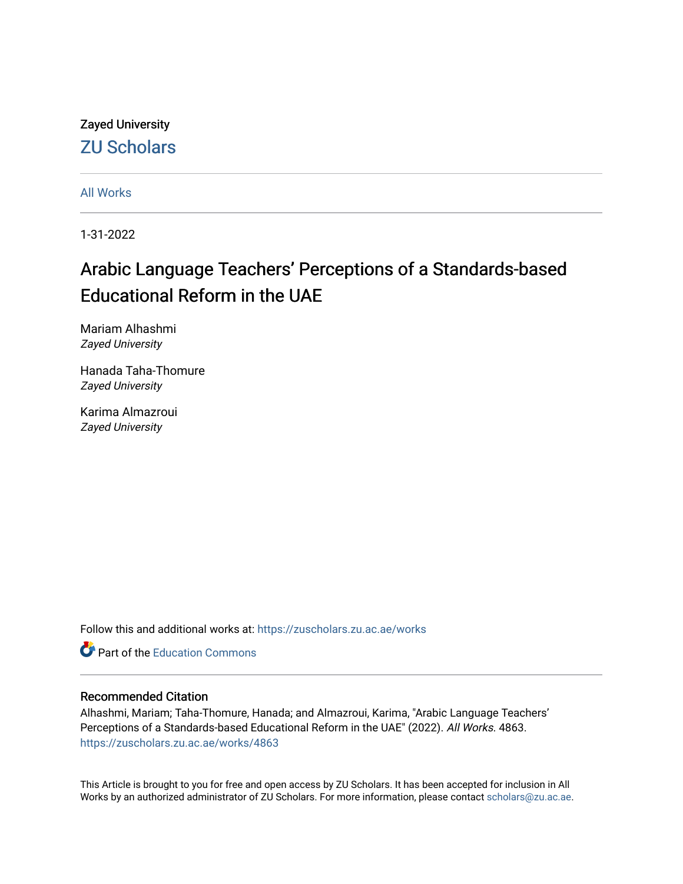Zayed University [ZU Scholars](https://zuscholars.zu.ac.ae/) 

[All Works](https://zuscholars.zu.ac.ae/works)

1-31-2022

# Arabic Language Teachers' Perceptions of a Standards-based Educational Reform in the UAE

Mariam Alhashmi Zayed University

Hanada Taha-Thomure Zayed University

Karima Almazroui Zayed University

Follow this and additional works at: [https://zuscholars.zu.ac.ae/works](https://zuscholars.zu.ac.ae/works?utm_source=zuscholars.zu.ac.ae%2Fworks%2F4863&utm_medium=PDF&utm_campaign=PDFCoverPages)

**C** Part of the [Education Commons](http://network.bepress.com/hgg/discipline/784?utm_source=zuscholars.zu.ac.ae%2Fworks%2F4863&utm_medium=PDF&utm_campaign=PDFCoverPages)

#### Recommended Citation

Alhashmi, Mariam; Taha-Thomure, Hanada; and Almazroui, Karima, "Arabic Language Teachers' Perceptions of a Standards-based Educational Reform in the UAE" (2022). All Works. 4863. [https://zuscholars.zu.ac.ae/works/4863](https://zuscholars.zu.ac.ae/works/4863?utm_source=zuscholars.zu.ac.ae%2Fworks%2F4863&utm_medium=PDF&utm_campaign=PDFCoverPages)

This Article is brought to you for free and open access by ZU Scholars. It has been accepted for inclusion in All Works by an authorized administrator of ZU Scholars. For more information, please contact [scholars@zu.ac.ae](mailto:scholars@zu.ac.ae).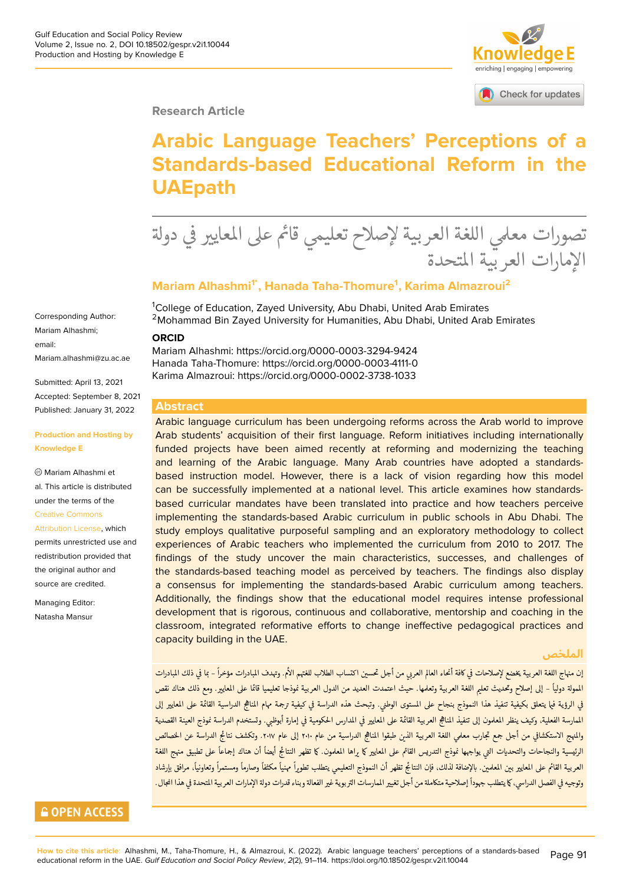

Check for updates

#### **Research Article**

# **Arabic Language Teachers' Perceptions of a Standards-based Educational Reform in the UAEpath**

.<br>วั تصورات معلمي اللغة العربية لإصلاح تعليمي قائم على المعايير في دولة<br>الإيارات المستقبلة ѫ ្ الإمارات العربية المتحدة とき

#### **Mariam Alhashmi1\*, Hanada Taha-Thomure<sup>1</sup> , Karima Almazroui<sup>2</sup>**

<sup>1</sup>College of Education, Zayed University, Abu Dhabi, United Arab Emirates <sup>2</sup>Mohammad Bin Zayed University for Humanities, Abu Dhabi, United Arab Emirates

#### **ORCID**

Mariam Alhashmi: https://orcid.org/0000-0003-3294-9424 Hanada Taha-Thomure: https://orcid.org/0000-0003-4111-0 Karima Almazroui: https://orcid.org/0000-0002-3738-1033

#### **Abstract**

Arabic language curriculum has been undergoing reforms across the Arab world to improve Arab students' acquisition of their first language. Reform initiatives including internationally funded projects have been aimed recently at reforming and modernizing the teaching and learning of the Arabic language. Many Arab countries have adopted a standardsbased instruction model. However, there is a lack of vision regarding how this model can be successfully implemented at a national level. This article examines how standardsbased curricular mandates have been translated into practice and how teachers perceive implementing the standards-based Arabic curriculum in public schools in Abu Dhabi. The study employs qualitative purposeful sampling and an exploratory methodology to collect experiences of Arabic teachers who implemented the curriculum from 2010 to 2017. The findings of the study uncover the main characteristics, successes, and challenges of the standards-based teaching model as perceived by teachers. The findings also display a consensus for implementing the standards-based Arabic curriculum among teachers. Additionally, the findings show that the educational model requires intense professional development that is rigorous, continuous and collaborative, mentorship and coaching in the classroom, integrated reformative efforts to change ineffective pedagogical practices and capacity building in the UAE.

#### **الملخص**

إن منهاج اللغة العربية يخضع لإصلاحات في كافة أنحاء العالم العربي من أجل تحسين اكتساب الطلاب للغتهم الأم. وتهدف المبادرات مؤخراً – بما في ذلك المبادرات ѫ ً<br>أ Ѫ ѫ ѫ الممولة دولياً – إلى إصلاح وتحديث تعليم اللغة العربية وتعلمها. حيث اعتمدت العديد من الدول العربية نموذجا تعليميا قائما على المعايير. ومع ذلك هناك نقص Ѫ ѫًفي الرؤية فيا يتعلق بكيفية تنفيذ هذا النموذج بنجاح على المستوى الوطني. وتبحث هذه الدراسة في كيفية ترجمة مهام المناهج الدراسية القائمة على المعايير إلى<br>.  $\ddot{\cdot}$ ѫ ѫ ѫالممارسة الفعلية، وكيف ينظر المعلمون إلى تنفيذ المناهج العائمة على المعايير في المدارس الحكومية في إمارة أبوظبي. وتستخدم الدراسة نموذج العينة القصدية ѫ ѫ Ѫ والمنهج الاستكشافي من أجل جمع تجارب معلمي اللغة العربية الذين طبقوا المناهج الدراسية من عام ٢٠١٠ إلى عام ٢٠١٧. وتكشف نتائج الدراسة عن الحصائص Ѫ ѳ ѫ الرئيسية والنجاحات والتحديات التي يواجهها نموذج التدريس القائم على المعايير كا يراها المعلمون. كما تظهر النتائج أيضاً أن هناك إجماعاً على تطبيق منهج اللغة ً ً Ѫ Ѫ ѫالعربية القائم على المعايين بالعلمين. بالإضافة لذلك، فإن النتائج تظهر أن النموذج التعليمي يتطلب تطويراً مهنياً وصلاوماً ومستمراً وتعاونياً، مرافق بإرشاد ً ً ً ً ًً Ѱ Ѫ Ѫ وتوجيه في الفصل الدراسي، كا يتطلب جهوداً إصلاحية متكاملة من أجل تغيير المارسات التربوية غير الفعالة وبناء قدرات دولة الإمارات العربية المتحدة في هذا المجال.<br>. ѫ ًѫ

Corresponding Author: Mariam Alhashmi; email: [Mariam.alhashmi@zu.ac.ae](mailto:Mariam.alhashmi@zu.ac.ae)

Submitted: April 13, 2021 Accepted: September 8, 2021 Published: January 31, 2022

#### **Production and Hosting by Knowledge E**

Mariam Alhashmi et al. This article is distributed under the terms of the [Creative Commons](https://creativecommons.org/licenses/by/4.0/)

[Attribution License](https://creativecommons.org/licenses/by/4.0/), which permits unrestricted use and redistribution provided that the original author and source are credited.

Managing Editor: Natasha Mansur

### **GOPEN ACCESS**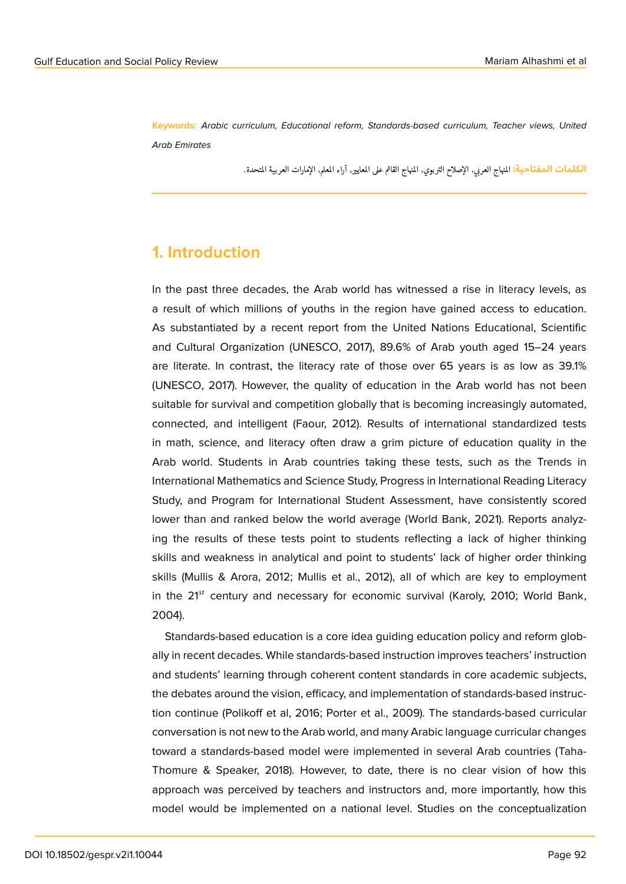**Keywords:** *Arabic curriculum, Educational reform, Standards-based curriculum, Teacher views, United Arab Emirates*

> <mark>الكلمات المفتاحية:</mark> المهاج العربي، الإصلاح التربوي، المنهاج القائم على المعايير، آراء المعلم، الإمارات العربية المتحدة. ֠

### **1. Introduction**

In the past three decades, the Arab world has witnessed a rise in literacy levels, as a result of which millions of youths in the region have gained access to education. As substantiated by a recent report from the United Nations Educational, Scientific and Cultural Organization (UNESCO, 2017), 89.6% of Arab youth aged 15–24 years are literate. In contrast, the literacy rate of those over 65 years is as low as 39.1% (UNESCO, 2017). However, the quality of education in the Arab world has not been suitable for survival and competition globally that is becoming increasingly automated, connected, and intelligent (Faour, 2012). Results of international standardized tests in math, science, and literacy often draw a grim picture of education quality in the Arab world. Students in Arab countries taking these tests, such as the Trends in International Mathematics and Science Study, Progress in International Reading Literacy Study, and Program for International Student Assessment, have consistently scored lower than and ranked below the world average (World Bank, 2021). Reports analyzing the results of these tests point to students reflecting a lack of higher thinking skills and weakness in analytical and point to students' lack of higher order thinking skills (Mullis & Arora, 2012; Mullis et al., 2012), all of which are key to employment in the  $21^{st}$  century and necessary for economic survival (Karoly, 2010; World Bank, 2004).

Standards-based education is a core idea guiding education policy and reform globally in recent decades. While standards-based instruction improves teachers' instruction and students' learning through coherent content standards in core academic subjects, the debates around the vision, efficacy, and implementation of standards-based instruction continue (Polikoff et al, 2016; Porter et al., 2009). The standards-based curricular conversation is not new to the Arab world, and many Arabic language curricular changes toward a standards-based model were implemented in several Arab countries (Taha-Thomure & Speaker, 2018). However, to date, there is no clear vision of how this approach was perceived by teachers and instructors and, more importantly, how this model would be implemented on a national level. Studies on the conceptualization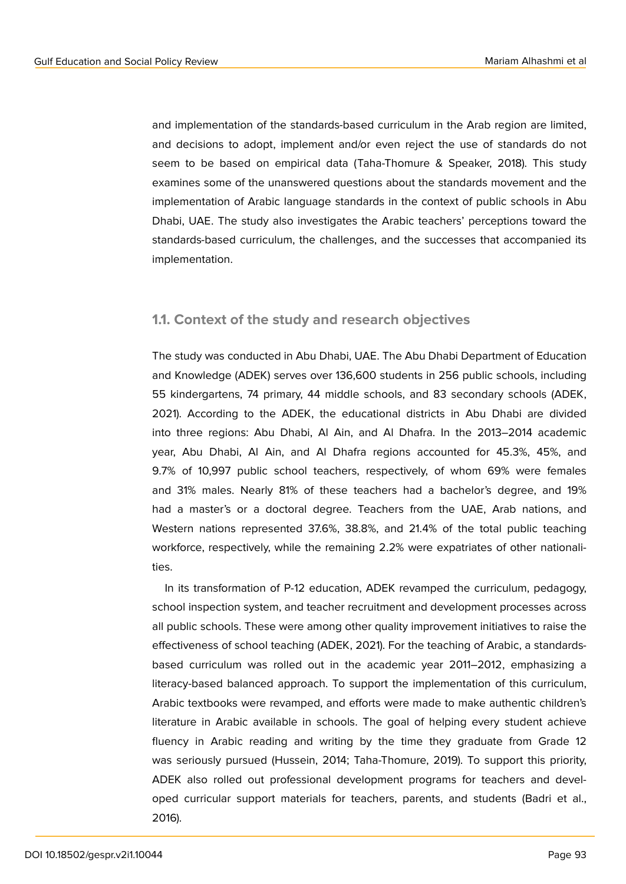and implementation of the standards-based curriculum in the Arab region are limited, and decisions to adopt, implement and/or even reject the use of standards do not seem to be based on empirical data (Taha-Thomure & Speaker, 2018). This study examines some of the unanswered questions about the standards movement and the implementation of Arabic language standards in the context of public schools in Abu Dhabi, UAE. The study also investigates the Arabic teachers' perceptions toward the standards-based curriculum, the challenges, and the successes that accompanied its implementation.

#### **1.1. Context of the study and research objectives**

The study was conducted in Abu Dhabi, UAE. The Abu Dhabi Department of Education and Knowledge (ADEK) serves over 136,600 students in 256 public schools, including 55 kindergartens, 74 primary, 44 middle schools, and 83 secondary schools (ADEK, 2021). According to the ADEK, the educational districts in Abu Dhabi are divided into three regions: Abu Dhabi, Al Ain, and Al Dhafra. In the 2013–2014 academic year, Abu Dhabi, Al Ain, and Al Dhafra regions accounted for 45.3%, 45%, and 9.7% of 10,997 public school teachers, respectively, of whom 69% were females and 31% males. Nearly 81% of these teachers had a bachelor's degree, and 19% had a master's or a doctoral degree. Teachers from the UAE, Arab nations, and Western nations represented 37.6%, 38.8%, and 21.4% of the total public teaching workforce, respectively, while the remaining 2.2% were expatriates of other nationalities.

In its transformation of P-12 education, ADEK revamped the curriculum, pedagogy, school inspection system, and teacher recruitment and development processes across all public schools. These were among other quality improvement initiatives to raise the effectiveness of school teaching (ADEK, 2021). For the teaching of Arabic, a standardsbased curriculum was rolled out in the academic year 2011–2012, emphasizing a literacy-based balanced approach. To support the implementation of this curriculum, Arabic textbooks were revamped, and efforts were made to make authentic children's literature in Arabic available in schools. The goal of helping every student achieve fluency in Arabic reading and writing by the time they graduate from Grade 12 was seriously pursued (Hussein, 2014; Taha-Thomure, 2019). To support this priority, ADEK also rolled out professional development programs for teachers and developed curricular support materials for teachers, parents, and students (Badri et al., 2016).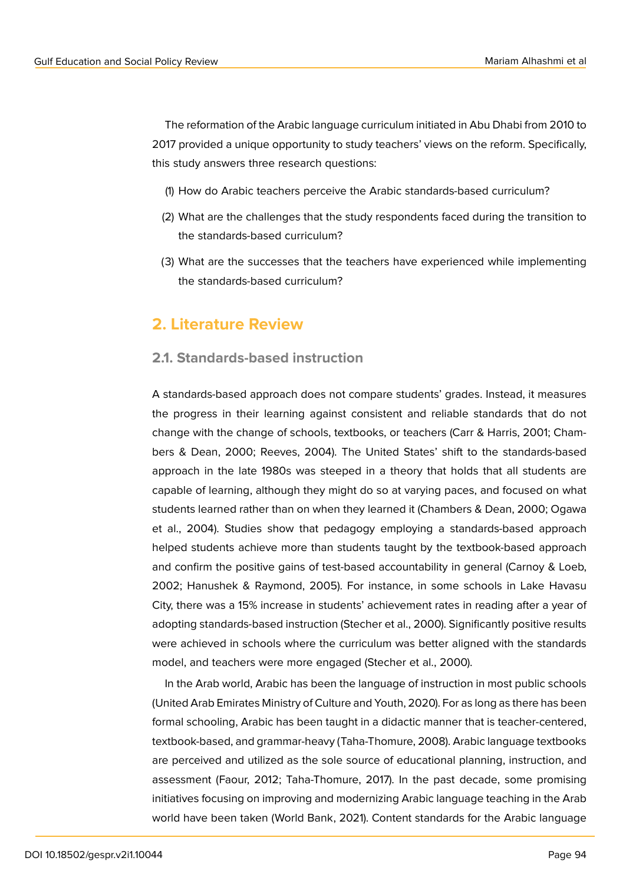The reformation of the Arabic language curriculum initiated in Abu Dhabi from 2010 to 2017 provided a unique opportunity to study teachers' views on the reform. Specifically, this study answers three research questions:

- (1) How do Arabic teachers perceive the Arabic standards-based curriculum?
- (2) What are the challenges that the study respondents faced during the transition to the standards-based curriculum?
- (3) What are the successes that the teachers have experienced while implementing the standards-based curriculum?

### **2. Literature Review**

### **2.1. Standards-based instruction**

A standards-based approach does not compare students' grades. Instead, it measures the progress in their learning against consistent and reliable standards that do not change with the change of schools, textbooks, or teachers (Carr & Harris, 2001; Chambers & Dean, 2000; Reeves, 2004). The United States' shift to the standards-based approach in the late 1980s was steeped in a theory that holds that all students are capable of learning, although they might do so at varying paces, and focused on what students learned rather than on when they learned it (Chambers & Dean, 2000; Ogawa et al., 2004). Studies show that pedagogy employing a standards-based approach helped students achieve more than students taught by the textbook-based approach and confirm the positive gains of test-based accountability in general (Carnoy & Loeb, 2002; Hanushek & Raymond, 2005). For instance, in some schools in Lake Havasu City, there was a 15% increase in students' achievement rates in reading after a year of adopting standards-based instruction (Stecher et al., 2000). Significantly positive results were achieved in schools where the curriculum was better aligned with the standards model, and teachers were more engaged (Stecher et al., 2000).

In the Arab world, Arabic has been the language of instruction in most public schools (United Arab Emirates Ministry of Culture and Youth, 2020). For as long as there has been formal schooling, Arabic has been taught in a didactic manner that is teacher-centered, textbook-based, and grammar-heavy (Taha-Thomure, 2008). Arabic language textbooks are perceived and utilized as the sole source of educational planning, instruction, and assessment (Faour, 2012; Taha-Thomure, 2017). In the past decade, some promising initiatives focusing on improving and modernizing Arabic language teaching in the Arab world have been taken (World Bank, 2021). Content standards for the Arabic language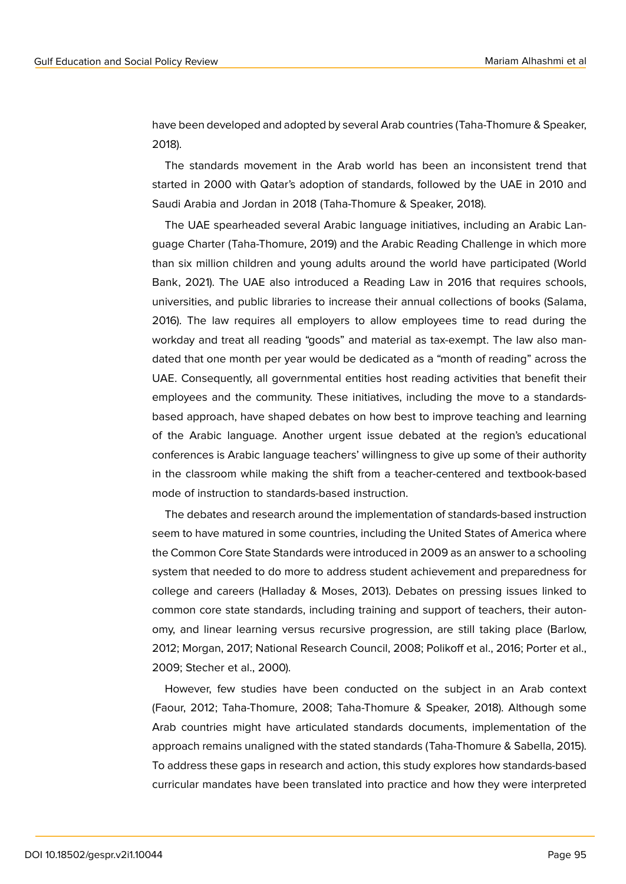have been developed and adopted by several Arab countries (Taha-Thomure & Speaker, 2018).

The standards movement in the Arab world has been an inconsistent trend that started in 2000 with Qatar's adoption of standards, followed by the UAE in 2010 and Saudi Arabia and Jordan in 2018 (Taha-Thomure & Speaker, 2018).

The UAE spearheaded several Arabic language initiatives, including an Arabic Language Charter (Taha-Thomure, 2019) and the Arabic Reading Challenge in which more than six million children and young adults around the world have participated (World Bank, 2021). The UAE also introduced a Reading Law in 2016 that requires schools, universities, and public libraries to increase their annual collections of books (Salama, 2016). The law requires all employers to allow employees time to read during the workday and treat all reading "goods" and material as tax-exempt. The law also mandated that one month per year would be dedicated as a "month of reading" across the UAE. Consequently, all governmental entities host reading activities that benefit their employees and the community. These initiatives, including the move to a standardsbased approach, have shaped debates on how best to improve teaching and learning of the Arabic language. Another urgent issue debated at the region's educational conferences is Arabic language teachers' willingness to give up some of their authority in the classroom while making the shift from a teacher-centered and textbook-based mode of instruction to standards-based instruction.

The debates and research around the implementation of standards-based instruction seem to have matured in some countries, including the United States of America where the Common Core State Standards were introduced in 2009 as an answer to a schooling system that needed to do more to address student achievement and preparedness for college and careers (Halladay & Moses, 2013). Debates on pressing issues linked to common core state standards, including training and support of teachers, their autonomy, and linear learning versus recursive progression, are still taking place (Barlow, 2012; Morgan, 2017; National Research Council, 2008; Polikoff et al., 2016; Porter et al., 2009; Stecher et al., 2000).

However, few studies have been conducted on the subject in an Arab context (Faour, 2012; Taha-Thomure, 2008; Taha-Thomure & Speaker, 2018). Although some Arab countries might have articulated standards documents, implementation of the approach remains unaligned with the stated standards (Taha-Thomure & Sabella, 2015). To address these gaps in research and action, this study explores how standards-based curricular mandates have been translated into practice and how they were interpreted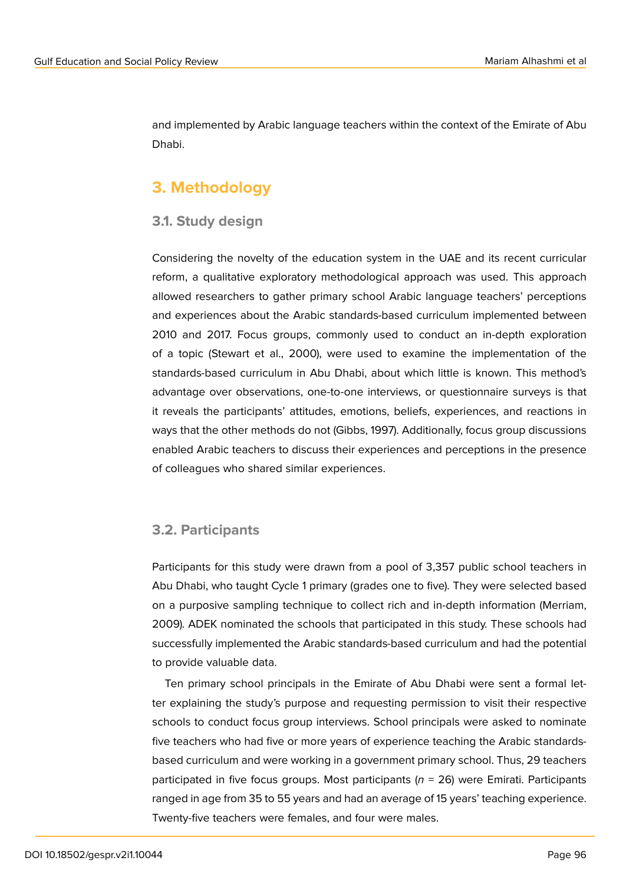and implemented by Arabic language teachers within the context of the Emirate of Abu Dhabi.

# **3. Methodology**

#### **3.1. Study design**

Considering the novelty of the education system in the UAE and its recent curricular reform, a qualitative exploratory methodological approach was used. This approach allowed researchers to gather primary school Arabic language teachers' perceptions and experiences about the Arabic standards-based curriculum implemented between 2010 and 2017. Focus groups, commonly used to conduct an in-depth exploration of a topic (Stewart et al., 2000), were used to examine the implementation of the standards-based curriculum in Abu Dhabi, about which little is known. This method's advantage over observations, one-to-one interviews, or questionnaire surveys is that it reveals the participants' attitudes, emotions, beliefs, experiences, and reactions in ways that the other methods do not (Gibbs, 1997). Additionally, focus group discussions enabled Arabic teachers to discuss their experiences and perceptions in the presence of colleagues who shared similar experiences.

### **3.2. Participants**

Participants for this study were drawn from a pool of 3,357 public school teachers in Abu Dhabi, who taught Cycle 1 primary (grades one to five). They were selected based on a purposive sampling technique to collect rich and in-depth information (Merriam, 2009). ADEK nominated the schools that participated in this study. These schools had successfully implemented the Arabic standards-based curriculum and had the potential to provide valuable data.

Ten primary school principals in the Emirate of Abu Dhabi were sent a formal letter explaining the study's purpose and requesting permission to visit their respective schools to conduct focus group interviews. School principals were asked to nominate five teachers who had five or more years of experience teaching the Arabic standardsbased curriculum and were working in a government primary school. Thus, 29 teachers participated in five focus groups. Most participants (*n* = 26) were Emirati. Participants ranged in age from 35 to 55 years and had an average of 15 years' teaching experience. Twenty-five teachers were females, and four were males.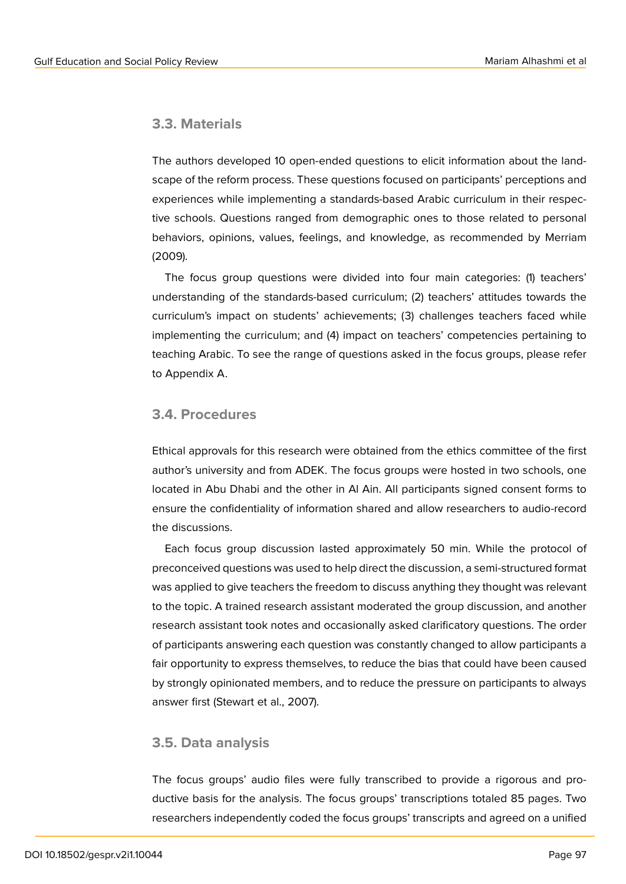### **3.3. Materials**

The authors developed 10 open-ended questions to elicit information about the landscape of the reform process. These questions focused on participants' perceptions and experiences while implementing a standards-based Arabic curriculum in their respective schools. Questions ranged from demographic ones to those related to personal behaviors, opinions, values, feelings, and knowledge, as recommended by Merriam (2009).

The focus group questions were divided into four main categories: (1) teachers' understanding of the standards-based curriculum; (2) teachers' attitudes towards the curriculum's impact on students' achievements; (3) challenges teachers faced while implementing the curriculum; and (4) impact on teachers' competencies pertaining to teaching Arabic. To see the range of questions asked in the focus groups, please refer to Appendix A.

### **3.4. Procedures**

Ethical approvals for this research were obtained from the ethics committee of the first author's university and from ADEK. The focus groups were hosted in two schools, one located in Abu Dhabi and the other in Al Ain. All participants signed consent forms to ensure the confidentiality of information shared and allow researchers to audio-record the discussions.

Each focus group discussion lasted approximately 50 min. While the protocol of preconceived questions was used to help direct the discussion, a semi-structured format was applied to give teachers the freedom to discuss anything they thought was relevant to the topic. A trained research assistant moderated the group discussion, and another research assistant took notes and occasionally asked clarificatory questions. The order of participants answering each question was constantly changed to allow participants a fair opportunity to express themselves, to reduce the bias that could have been caused by strongly opinionated members, and to reduce the pressure on participants to always answer first (Stewart et al., 2007).

### **3.5. Data analysis**

The focus groups' audio files were fully transcribed to provide a rigorous and productive basis for the analysis. The focus groups' transcriptions totaled 85 pages. Two researchers independently coded the focus groups' transcripts and agreed on a unified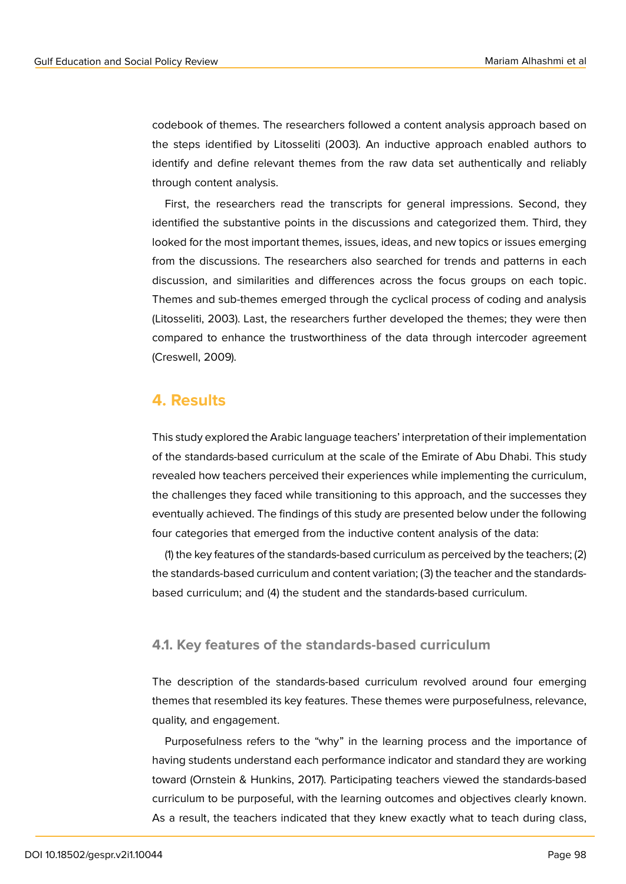codebook of themes. The researchers followed a content analysis approach based on the steps identified by Litosseliti (2003). An inductive approach enabled authors to identify and define relevant themes from the raw data set authentically and reliably through content analysis.

First, the researchers read the transcripts for general impressions. Second, they identified the substantive points in the discussions and categorized them. Third, they looked for the most important themes, issues, ideas, and new topics or issues emerging from the discussions. The researchers also searched for trends and patterns in each discussion, and similarities and differences across the focus groups on each topic. Themes and sub-themes emerged through the cyclical process of coding and analysis (Litosseliti, 2003). Last, the researchers further developed the themes; they were then compared to enhance the trustworthiness of the data through intercoder agreement (Creswell, 2009).

### **4. Results**

This study explored the Arabic language teachers' interpretation of their implementation of the standards-based curriculum at the scale of the Emirate of Abu Dhabi. This study revealed how teachers perceived their experiences while implementing the curriculum, the challenges they faced while transitioning to this approach, and the successes they eventually achieved. The findings of this study are presented below under the following four categories that emerged from the inductive content analysis of the data:

(1) the key features of the standards-based curriculum as perceived by the teachers; (2) the standards-based curriculum and content variation; (3) the teacher and the standardsbased curriculum; and (4) the student and the standards-based curriculum.

#### **4.1. Key features of the standards-based curriculum**

The description of the standards-based curriculum revolved around four emerging themes that resembled its key features. These themes were purposefulness, relevance, quality, and engagement.

Purposefulness refers to the "why" in the learning process and the importance of having students understand each performance indicator and standard they are working toward (Ornstein & Hunkins, 2017). Participating teachers viewed the standards-based curriculum to be purposeful, with the learning outcomes and objectives clearly known. As a result, the teachers indicated that they knew exactly what to teach during class,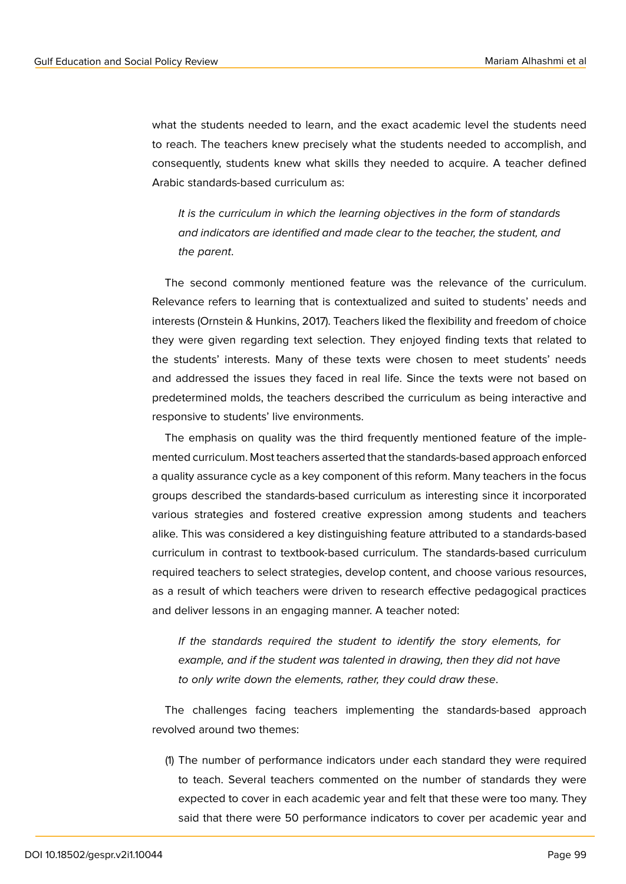what the students needed to learn, and the exact academic level the students need to reach. The teachers knew precisely what the students needed to accomplish, and consequently, students knew what skills they needed to acquire. A teacher defined Arabic standards-based curriculum as:

*It is the curriculum in which the learning objectives in the form of standards and indicators are identified and made clear to the teacher, the student, and the parent*.

The second commonly mentioned feature was the relevance of the curriculum. Relevance refers to learning that is contextualized and suited to students' needs and interests (Ornstein & Hunkins, 2017). Teachers liked the flexibility and freedom of choice they were given regarding text selection. They enjoyed finding texts that related to the students' interests. Many of these texts were chosen to meet students' needs and addressed the issues they faced in real life. Since the texts were not based on predetermined molds, the teachers described the curriculum as being interactive and responsive to students' live environments.

The emphasis on quality was the third frequently mentioned feature of the implemented curriculum. Most teachers asserted that the standards-based approach enforced a quality assurance cycle as a key component of this reform. Many teachers in the focus groups described the standards-based curriculum as interesting since it incorporated various strategies and fostered creative expression among students and teachers alike. This was considered a key distinguishing feature attributed to a standards-based curriculum in contrast to textbook-based curriculum. The standards-based curriculum required teachers to select strategies, develop content, and choose various resources, as a result of which teachers were driven to research effective pedagogical practices and deliver lessons in an engaging manner. A teacher noted:

*If the standards required the student to identify the story elements, for example, and if the student was talented in drawing, then they did not have to only write down the elements, rather, they could draw these*.

The challenges facing teachers implementing the standards-based approach revolved around two themes:

(1) The number of performance indicators under each standard they were required to teach. Several teachers commented on the number of standards they were expected to cover in each academic year and felt that these were too many. They said that there were 50 performance indicators to cover per academic year and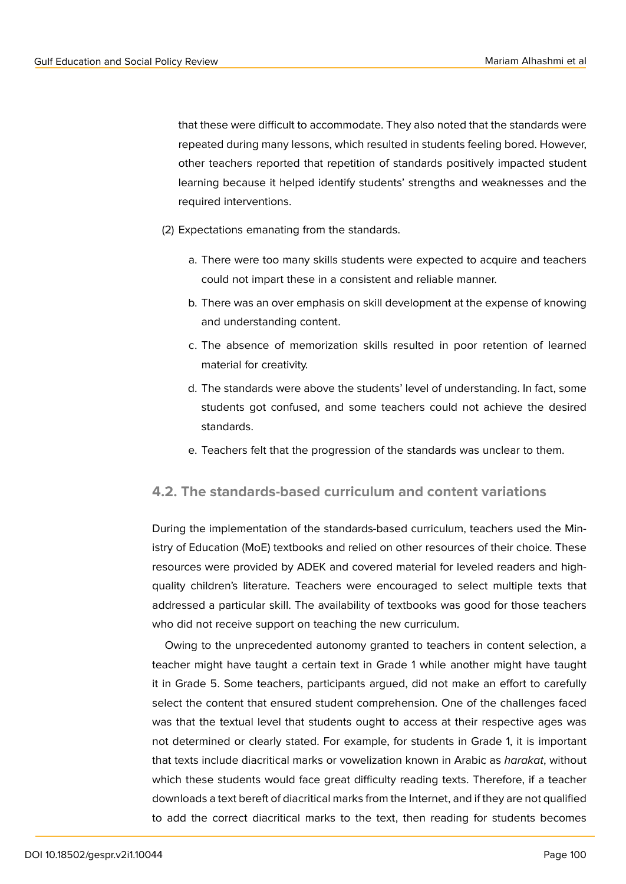that these were difficult to accommodate. They also noted that the standards were repeated during many lessons, which resulted in students feeling bored. However, other teachers reported that repetition of standards positively impacted student learning because it helped identify students' strengths and weaknesses and the required interventions.

- (2) Expectations emanating from the standards.
	- a. There were too many skills students were expected to acquire and teachers could not impart these in a consistent and reliable manner.
	- b. There was an over emphasis on skill development at the expense of knowing and understanding content.
	- c. The absence of memorization skills resulted in poor retention of learned material for creativity.
	- d. The standards were above the students' level of understanding. In fact, some students got confused, and some teachers could not achieve the desired standards.
	- e. Teachers felt that the progression of the standards was unclear to them.

### **4.2. The standards-based curriculum and content variations**

During the implementation of the standards-based curriculum, teachers used the Ministry of Education (MoE) textbooks and relied on other resources of their choice. These resources were provided by ADEK and covered material for leveled readers and highquality children's literature. Teachers were encouraged to select multiple texts that addressed a particular skill. The availability of textbooks was good for those teachers who did not receive support on teaching the new curriculum.

Owing to the unprecedented autonomy granted to teachers in content selection, a teacher might have taught a certain text in Grade 1 while another might have taught it in Grade 5. Some teachers, participants argued, did not make an effort to carefully select the content that ensured student comprehension. One of the challenges faced was that the textual level that students ought to access at their respective ages was not determined or clearly stated. For example, for students in Grade 1, it is important that texts include diacritical marks or vowelization known in Arabic as *harakat*, without which these students would face great difficulty reading texts. Therefore, if a teacher downloads a text bereft of diacritical marks from the Internet, and if they are not qualified to add the correct diacritical marks to the text, then reading for students becomes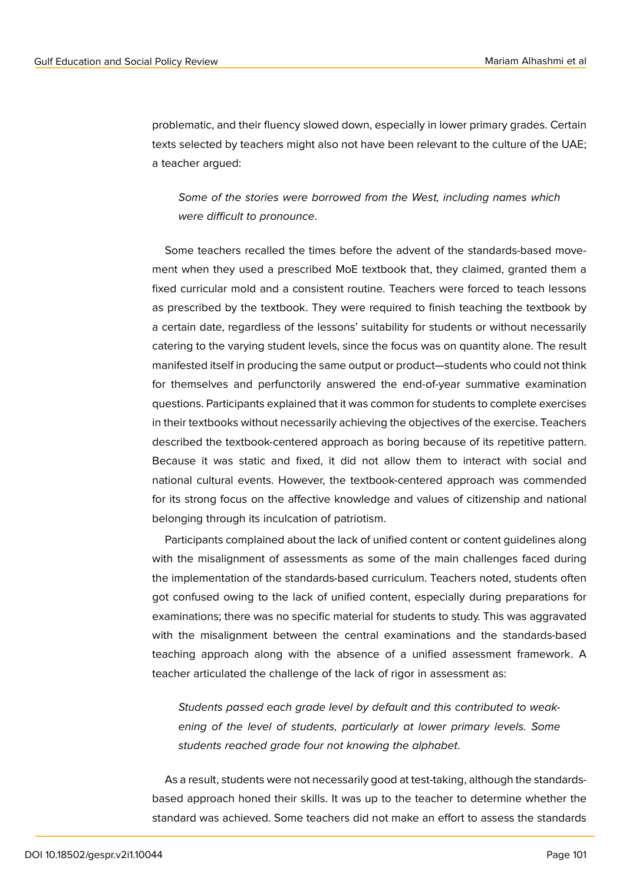problematic, and their fluency slowed down, especially in lower primary grades. Certain texts selected by teachers might also not have been relevant to the culture of the UAE; a teacher argued:

*Some of the stories were borrowed from the West, including names which were difficult to pronounce*.

Some teachers recalled the times before the advent of the standards-based movement when they used a prescribed MoE textbook that, they claimed, granted them a fixed curricular mold and a consistent routine. Teachers were forced to teach lessons as prescribed by the textbook. They were required to finish teaching the textbook by a certain date, regardless of the lessons' suitability for students or without necessarily catering to the varying student levels, since the focus was on quantity alone. The result manifested itself in producing the same output or product—students who could not think for themselves and perfunctorily answered the end-of-year summative examination questions. Participants explained that it was common for students to complete exercises in their textbooks without necessarily achieving the objectives of the exercise. Teachers described the textbook-centered approach as boring because of its repetitive pattern. Because it was static and fixed, it did not allow them to interact with social and national cultural events. However, the textbook-centered approach was commended for its strong focus on the affective knowledge and values of citizenship and national belonging through its inculcation of patriotism.

Participants complained about the lack of unified content or content guidelines along with the misalignment of assessments as some of the main challenges faced during the implementation of the standards-based curriculum. Teachers noted, students often got confused owing to the lack of unified content, especially during preparations for examinations; there was no specific material for students to study. This was aggravated with the misalignment between the central examinations and the standards-based teaching approach along with the absence of a unified assessment framework. A teacher articulated the challenge of the lack of rigor in assessment as:

*Students passed each grade level by default and this contributed to weakening of the level of students, particularly at lower primary levels. Some students reached grade four not knowing the alphabet*.

As a result, students were not necessarily good at test-taking, although the standardsbased approach honed their skills. It was up to the teacher to determine whether the standard was achieved. Some teachers did not make an effort to assess the standards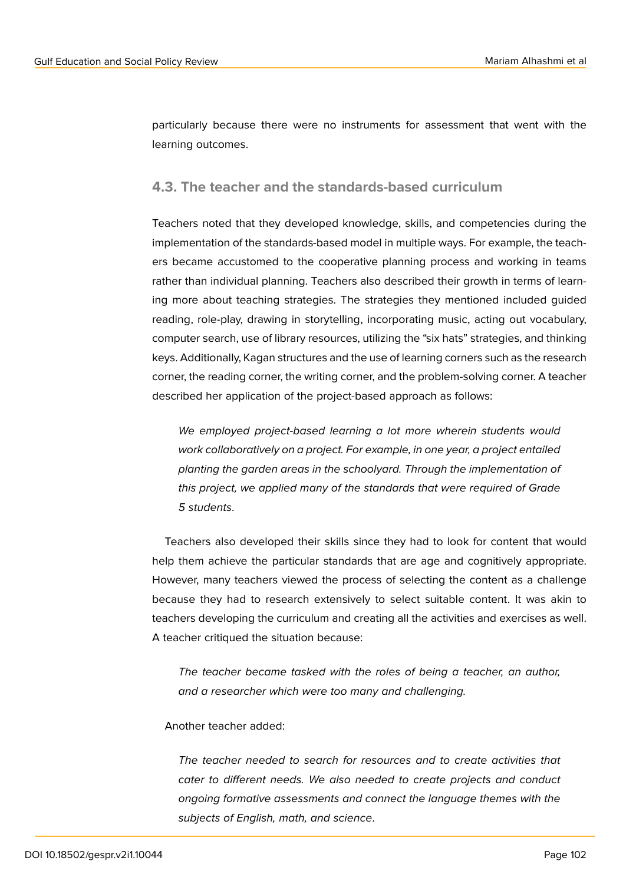particularly because there were no instruments for assessment that went with the learning outcomes.

#### **4.3. The teacher and the standards-based curriculum**

Teachers noted that they developed knowledge, skills, and competencies during the implementation of the standards-based model in multiple ways. For example, the teachers became accustomed to the cooperative planning process and working in teams rather than individual planning. Teachers also described their growth in terms of learning more about teaching strategies. The strategies they mentioned included guided reading, role-play, drawing in storytelling, incorporating music, acting out vocabulary, computer search, use of library resources, utilizing the "six hats" strategies, and thinking keys. Additionally, Kagan structures and the use of learning corners such as the research corner, the reading corner, the writing corner, and the problem-solving corner. A teacher described her application of the project-based approach as follows:

*We employed project-based learning a lot more wherein students would work collaboratively on a project. For example, in one year, a project entailed planting the garden areas in the schoolyard. Through the implementation of this project, we applied many of the standards that were required of Grade 5 students*.

Teachers also developed their skills since they had to look for content that would help them achieve the particular standards that are age and cognitively appropriate. However, many teachers viewed the process of selecting the content as a challenge because they had to research extensively to select suitable content. It was akin to teachers developing the curriculum and creating all the activities and exercises as well. A teacher critiqued the situation because:

*The teacher became tasked with the roles of being a teacher, an author, and a researcher which were too many and challenging.*

#### Another teacher added:

*The teacher needed to search for resources and to create activities that cater to different needs. We also needed to create projects and conduct ongoing formative assessments and connect the language themes with the subjects of English, math, and science*.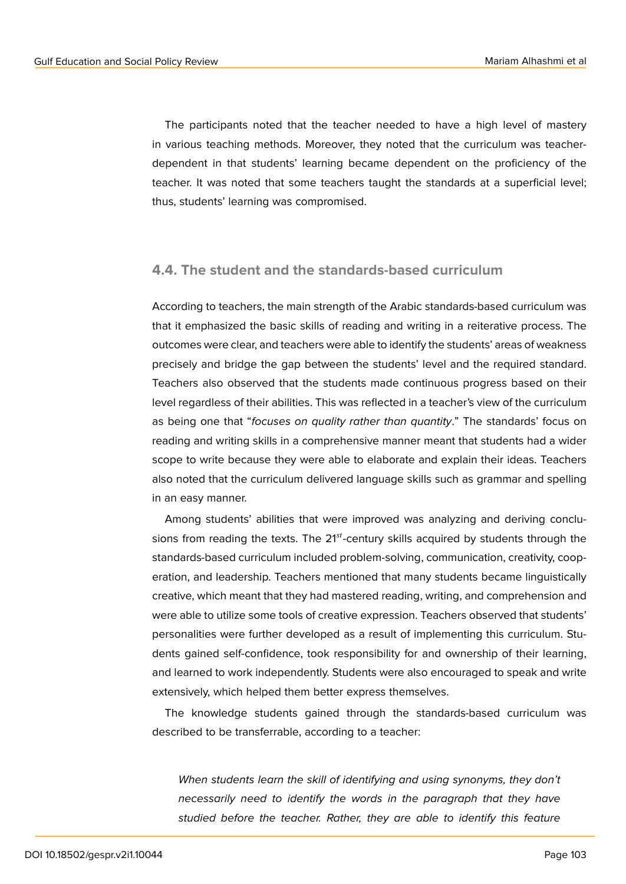The participants noted that the teacher needed to have a high level of mastery in various teaching methods. Moreover, they noted that the curriculum was teacherdependent in that students' learning became dependent on the proficiency of the teacher. It was noted that some teachers taught the standards at a superficial level; thus, students' learning was compromised.

### **4.4. The student and the standards-based curriculum**

According to teachers, the main strength of the Arabic standards-based curriculum was that it emphasized the basic skills of reading and writing in a reiterative process. The outcomes were clear, and teachers were able to identify the students' areas of weakness precisely and bridge the gap between the students' level and the required standard. Teachers also observed that the students made continuous progress based on their level regardless of their abilities. This was reflected in a teacher's view of the curriculum as being one that "*focuses on quality rather than quantity*." The standards' focus on reading and writing skills in a comprehensive manner meant that students had a wider scope to write because they were able to elaborate and explain their ideas. Teachers also noted that the curriculum delivered language skills such as grammar and spelling in an easy manner.

Among students' abilities that were improved was analyzing and deriving conclusions from reading the texts. The  $21<sup>st</sup>$ -century skills acquired by students through the standards-based curriculum included problem-solving, communication, creativity, cooperation, and leadership. Teachers mentioned that many students became linguistically creative, which meant that they had mastered reading, writing, and comprehension and were able to utilize some tools of creative expression. Teachers observed that students' personalities were further developed as a result of implementing this curriculum. Students gained self-confidence, took responsibility for and ownership of their learning, and learned to work independently. Students were also encouraged to speak and write extensively, which helped them better express themselves.

The knowledge students gained through the standards-based curriculum was described to be transferrable, according to a teacher:

*When students learn the skill of identifying and using synonyms, they don't necessarily need to identify the words in the paragraph that they have studied before the teacher. Rather, they are able to identify this feature*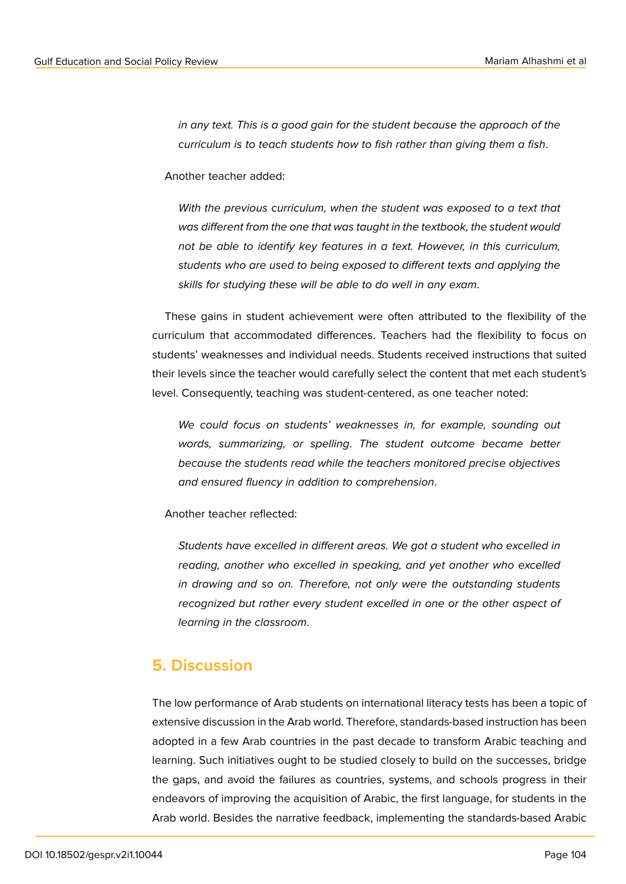*in any text. This is a good gain for the student because the approach of the curriculum is to teach students how to fish rather than giving them a fish*.

Another teacher added:

*With the previous curriculum, when the student was exposed to a text that was different from the one that was taught in the textbook, the student would not be able to identify key features in a text. However, in this curriculum, students who are used to being exposed to different texts and applying the skills for studying these will be able to do well in any exam*.

These gains in student achievement were often attributed to the flexibility of the curriculum that accommodated differences. Teachers had the flexibility to focus on students' weaknesses and individual needs. Students received instructions that suited their levels since the teacher would carefully select the content that met each student's level. Consequently, teaching was student-centered, as one teacher noted:

*We could focus on students' weaknesses in, for example, sounding out words, summarizing, or spelling*. *The student outcome became better because the students read while the teachers monitored precise objectives and ensured fluency in addition to comprehension*.

Another teacher reflected:

*Students have excelled in different areas. We got a student who excelled in reading, another who excelled in speaking, and yet another who excelled in drawing and so on. Therefore, not only were the outstanding students recognized but rather every student excelled in one or the other aspect of learning in the classroom*.

### **5. Discussion**

The low performance of Arab students on international literacy tests has been a topic of extensive discussion in the Arab world. Therefore, standards-based instruction has been adopted in a few Arab countries in the past decade to transform Arabic teaching and learning. Such initiatives ought to be studied closely to build on the successes, bridge the gaps, and avoid the failures as countries, systems, and schools progress in their endeavors of improving the acquisition of Arabic, the first language, for students in the Arab world. Besides the narrative feedback, implementing the standards-based Arabic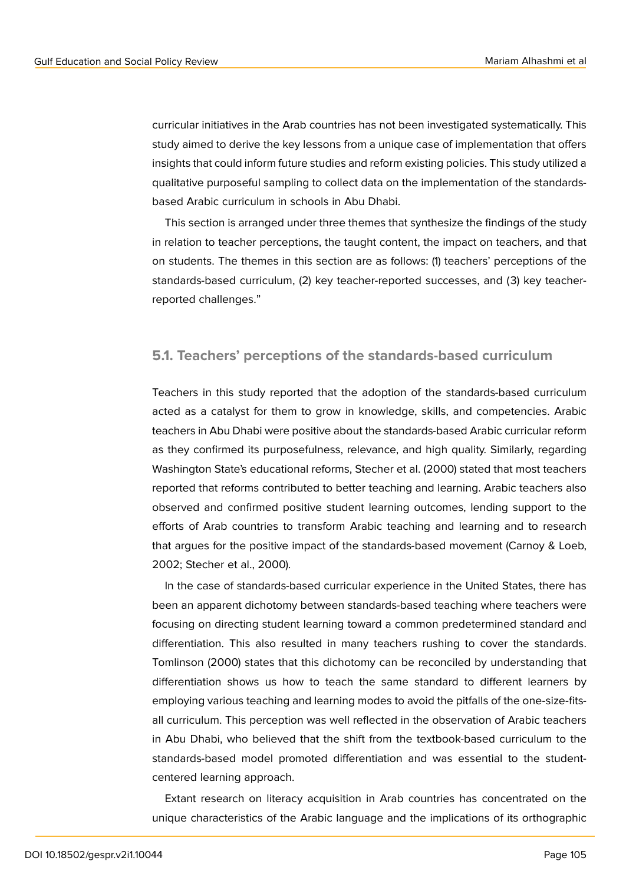curricular initiatives in the Arab countries has not been investigated systematically. This study aimed to derive the key lessons from a unique case of implementation that offers insights that could inform future studies and reform existing policies. This study utilized a qualitative purposeful sampling to collect data on the implementation of the standardsbased Arabic curriculum in schools in Abu Dhabi.

This section is arranged under three themes that synthesize the findings of the study in relation to teacher perceptions, the taught content, the impact on teachers, and that on students. The themes in this section are as follows: (1) teachers' perceptions of the standards-based curriculum, (2) key teacher-reported successes, and (3) key teacherreported challenges."

#### **5.1. Teachers' perceptions of the standards-based curriculum**

Teachers in this study reported that the adoption of the standards-based curriculum acted as a catalyst for them to grow in knowledge, skills, and competencies. Arabic teachers in Abu Dhabi were positive about the standards-based Arabic curricular reform as they confirmed its purposefulness, relevance, and high quality. Similarly, regarding Washington State's educational reforms, Stecher et al. (2000) stated that most teachers reported that reforms contributed to better teaching and learning. Arabic teachers also observed and confirmed positive student learning outcomes, lending support to the efforts of Arab countries to transform Arabic teaching and learning and to research that argues for the positive impact of the standards-based movement (Carnoy & Loeb, 2002; Stecher et al., 2000).

In the case of standards-based curricular experience in the United States, there has been an apparent dichotomy between standards-based teaching where teachers were focusing on directing student learning toward a common predetermined standard and differentiation. This also resulted in many teachers rushing to cover the standards. Tomlinson (2000) states that this dichotomy can be reconciled by understanding that differentiation shows us how to teach the same standard to different learners by employing various teaching and learning modes to avoid the pitfalls of the one-size-fitsall curriculum. This perception was well reflected in the observation of Arabic teachers in Abu Dhabi, who believed that the shift from the textbook-based curriculum to the standards-based model promoted differentiation and was essential to the studentcentered learning approach.

Extant research on literacy acquisition in Arab countries has concentrated on the unique characteristics of the Arabic language and the implications of its orthographic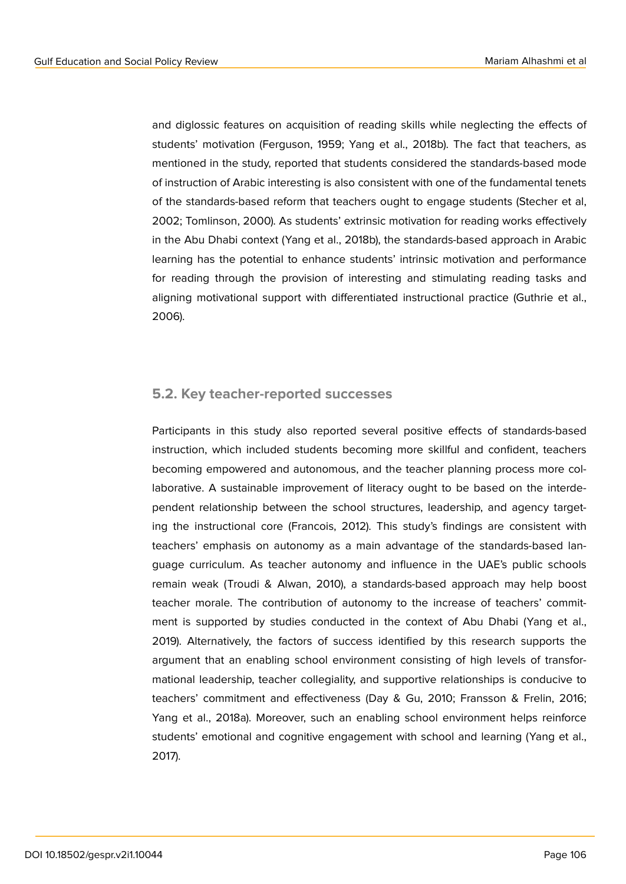and diglossic features on acquisition of reading skills while neglecting the effects of students' motivation (Ferguson, 1959; Yang et al., 2018b). The fact that teachers, as mentioned in the study, reported that students considered the standards-based mode of instruction of Arabic interesting is also consistent with one of the fundamental tenets of the standards-based reform that teachers ought to engage students (Stecher et al, 2002; Tomlinson, 2000). As students' extrinsic motivation for reading works effectively in the Abu Dhabi context (Yang et al., 2018b), the standards-based approach in Arabic learning has the potential to enhance students' intrinsic motivation and performance for reading through the provision of interesting and stimulating reading tasks and aligning motivational support with differentiated instructional practice (Guthrie et al., 2006).

#### **5.2. Key teacher-reported successes**

Participants in this study also reported several positive effects of standards-based instruction, which included students becoming more skillful and confident, teachers becoming empowered and autonomous, and the teacher planning process more collaborative. A sustainable improvement of literacy ought to be based on the interdependent relationship between the school structures, leadership, and agency targeting the instructional core (Francois, 2012). This study's findings are consistent with teachers' emphasis on autonomy as a main advantage of the standards-based language curriculum. As teacher autonomy and influence in the UAE's public schools remain weak (Troudi & Alwan, 2010), a standards-based approach may help boost teacher morale. The contribution of autonomy to the increase of teachers' commitment is supported by studies conducted in the context of Abu Dhabi (Yang et al., 2019). Alternatively, the factors of success identified by this research supports the argument that an enabling school environment consisting of high levels of transformational leadership, teacher collegiality, and supportive relationships is conducive to teachers' commitment and effectiveness (Day & Gu, 2010; Fransson & Frelin, 2016; Yang et al., 2018a). Moreover, such an enabling school environment helps reinforce students' emotional and cognitive engagement with school and learning (Yang et al., 2017).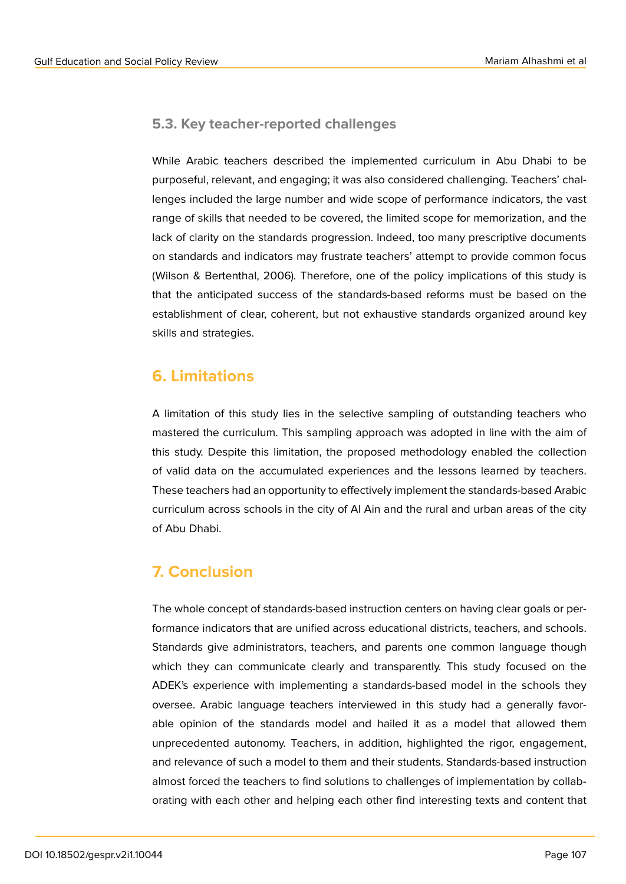### **5.3. Key teacher-reported challenges**

While Arabic teachers described the implemented curriculum in Abu Dhabi to be purposeful, relevant, and engaging; it was also considered challenging. Teachers' challenges included the large number and wide scope of performance indicators, the vast range of skills that needed to be covered, the limited scope for memorization, and the lack of clarity on the standards progression. Indeed, too many prescriptive documents on standards and indicators may frustrate teachers' attempt to provide common focus (Wilson & Bertenthal, 2006). Therefore, one of the policy implications of this study is that the anticipated success of the standards-based reforms must be based on the establishment of clear, coherent, but not exhaustive standards organized around key skills and strategies.

# **6. Limitations**

A limitation of this study lies in the selective sampling of outstanding teachers who mastered the curriculum. This sampling approach was adopted in line with the aim of this study. Despite this limitation, the proposed methodology enabled the collection of valid data on the accumulated experiences and the lessons learned by teachers. These teachers had an opportunity to effectively implement the standards-based Arabic curriculum across schools in the city of Al Ain and the rural and urban areas of the city of Abu Dhabi.

# **7. Conclusion**

The whole concept of standards-based instruction centers on having clear goals or performance indicators that are unified across educational districts, teachers, and schools. Standards give administrators, teachers, and parents one common language though which they can communicate clearly and transparently. This study focused on the ADEK's experience with implementing a standards-based model in the schools they oversee. Arabic language teachers interviewed in this study had a generally favorable opinion of the standards model and hailed it as a model that allowed them unprecedented autonomy. Teachers, in addition, highlighted the rigor, engagement, and relevance of such a model to them and their students. Standards-based instruction almost forced the teachers to find solutions to challenges of implementation by collaborating with each other and helping each other find interesting texts and content that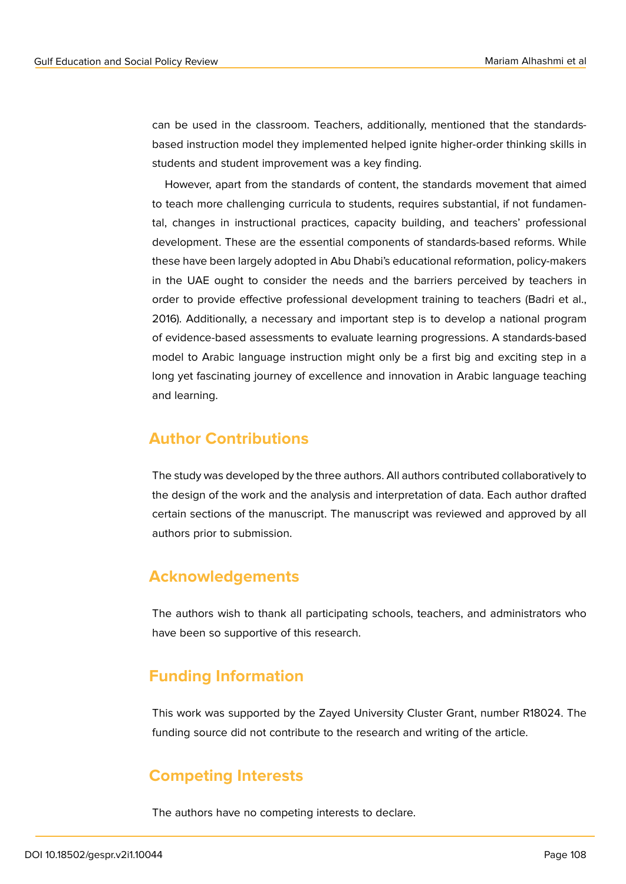can be used in the classroom. Teachers, additionally, mentioned that the standardsbased instruction model they implemented helped ignite higher-order thinking skills in students and student improvement was a key finding.

However, apart from the standards of content, the standards movement that aimed to teach more challenging curricula to students, requires substantial, if not fundamental, changes in instructional practices, capacity building, and teachers' professional development. These are the essential components of standards-based reforms. While these have been largely adopted in Abu Dhabi's educational reformation, policy-makers in the UAE ought to consider the needs and the barriers perceived by teachers in order to provide effective professional development training to teachers (Badri et al., 2016). Additionally, a necessary and important step is to develop a national program of evidence-based assessments to evaluate learning progressions. A standards-based model to Arabic language instruction might only be a first big and exciting step in a long yet fascinating journey of excellence and innovation in Arabic language teaching and learning.

### **Author Contributions**

The study was developed by the three authors. All authors contributed collaboratively to the design of the work and the analysis and interpretation of data. Each author drafted certain sections of the manuscript. The manuscript was reviewed and approved by all authors prior to submission.

### **Acknowledgements**

The authors wish to thank all participating schools, teachers, and administrators who have been so supportive of this research.

# **Funding Information**

This work was supported by the Zayed University Cluster Grant, number R18024. The funding source did not contribute to the research and writing of the article.

# **Competing Interests**

The authors have no competing interests to declare.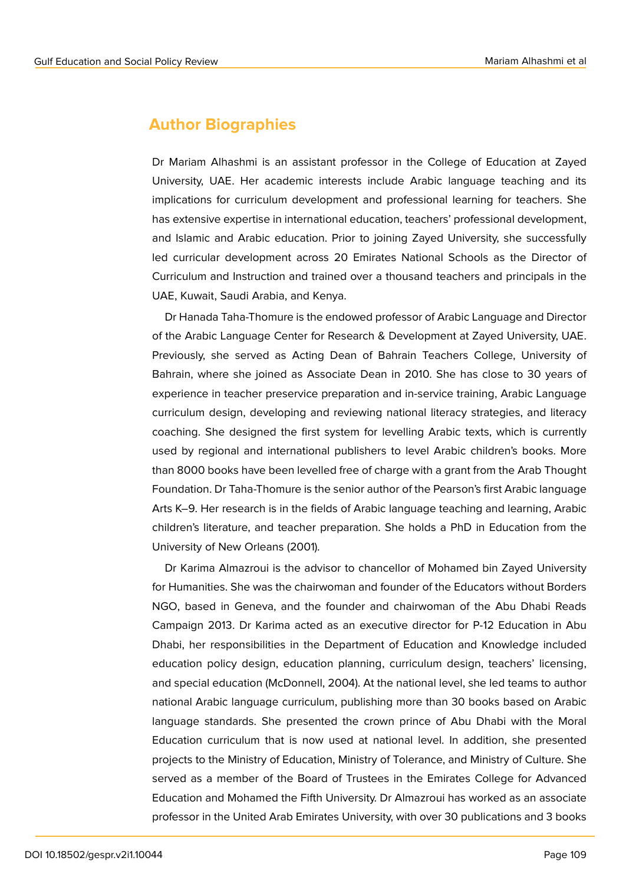### **Author Biographies**

Dr Mariam Alhashmi is an assistant professor in the College of Education at Zayed University, UAE. Her academic interests include Arabic language teaching and its implications for curriculum development and professional learning for teachers. She has extensive expertise in international education, teachers' professional development, and Islamic and Arabic education. Prior to joining Zayed University, she successfully led curricular development across 20 Emirates National Schools as the Director of Curriculum and Instruction and trained over a thousand teachers and principals in the UAE, Kuwait, Saudi Arabia, and Kenya.

Dr Hanada Taha-Thomure is the endowed professor of Arabic Language and Director of the Arabic Language Center for Research & Development at Zayed University, UAE. Previously, she served as Acting Dean of Bahrain Teachers College, University of Bahrain, where she joined as Associate Dean in 2010. She has close to 30 years of experience in teacher preservice preparation and in-service training, Arabic Language curriculum design, developing and reviewing national literacy strategies, and literacy coaching. She designed the first system for levelling Arabic texts, which is currently used by regional and international publishers to level Arabic children's books. More than 8000 books have been levelled free of charge with a grant from the Arab Thought Foundation. Dr Taha-Thomure is the senior author of the Pearson's first Arabic language Arts K–9. Her research is in the fields of Arabic language teaching and learning, Arabic children's literature, and teacher preparation. She holds a PhD in Education from the University of New Orleans (2001).

Dr Karima Almazroui is the advisor to chancellor of Mohamed bin Zayed University for Humanities. She was the chairwoman and founder of the Educators without Borders NGO, based in Geneva, and the founder and chairwoman of the Abu Dhabi Reads Campaign 2013. Dr Karima acted as an executive director for P-12 Education in Abu Dhabi, her responsibilities in the Department of Education and Knowledge included education policy design, education planning, curriculum design, teachers' licensing, and special education (McDonnell, 2004). At the national level, she led teams to author national Arabic language curriculum, publishing more than 30 books based on Arabic language standards. She presented the crown prince of Abu Dhabi with the Moral Education curriculum that is now used at national level. In addition, she presented projects to the Ministry of Education, Ministry of Tolerance, and Ministry of Culture. She served as a member of the Board of Trustees in the Emirates College for Advanced Education and Mohamed the Fifth University. Dr Almazroui has worked as an associate professor in the United Arab Emirates University, with over 30 publications and 3 books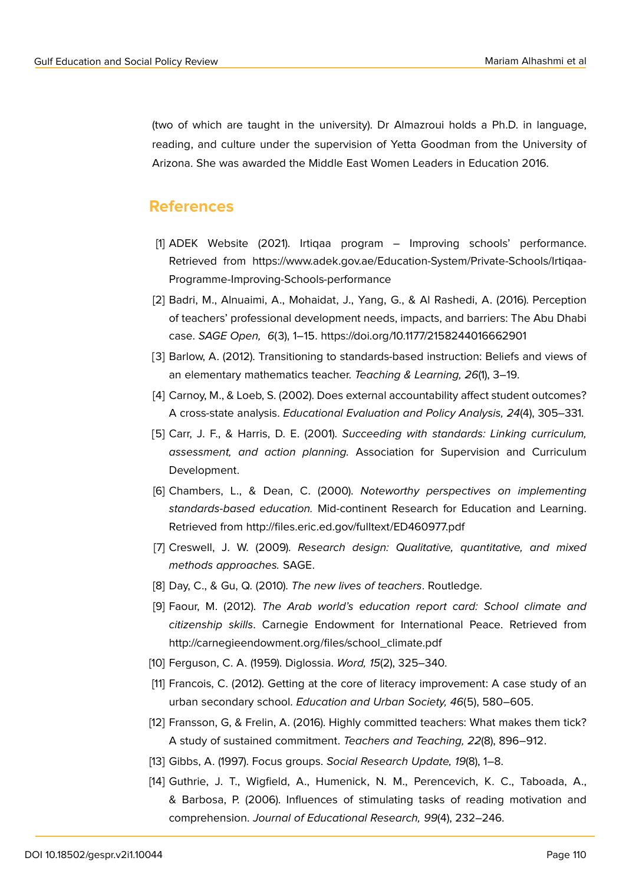(two of which are taught in the university). Dr Almazroui holds a Ph.D. in language, reading, and culture under the supervision of Yetta Goodman from the University of Arizona. She was awarded the Middle East Women Leaders in Education 2016.

### **References**

- [1] ADEK Website (2021). Irtiqaa program Improving schools' performance. Retrieved from https://www.adek.gov.ae/Education-System/Private-Schools/Irtiqaa-Programme-Improving-Schools-performance
- [2] Badri, M., Alnuaimi, A., Mohaidat, J., Yang, G., & Al Rashedi, A. (2016). Perception of teachers' professional development needs, impacts, and barriers: The Abu Dhabi case. *SAGE Open, 6*(3), 1–15. https://doi.org/10.1177/2158244016662901
- [3] Barlow, A. (2012). Transitioning to standards-based instruction: Beliefs and views of an elementary mathematics teacher. *Teaching & Learning, 26*(1), 3–19.
- [4] Carnoy, M., & Loeb, S. (2002). Does external accountability affect student outcomes? A cross-state analysis. *Educational Evaluation and Policy Analysis, 24*(4), 305–331.
- [5] Carr, J. F., & Harris, D. E. (2001). *Succeeding with standards: Linking curriculum, assessment, and action planning.* Association for Supervision and Curriculum Development.
- [6] Chambers, L., & Dean, C. (2000). *Noteworthy perspectives on implementing standards-based education.* Mid-continent Research for Education and Learning. Retrieved from http://files.eric.ed.gov/fulltext/ED460977.pdf
- [7] Creswell, J. W. (2009). *Research design: Qualitative, quantitative, and mixed methods approaches.* SAGE.
- [8] Day, C., & Gu, Q. (2010). *The new lives of teachers*. Routledge.
- [9] Faour, M. (2012). *The Arab world's education report card: School climate and citizenship skills*. Carnegie Endowment for International Peace. Retrieved from http://carnegieendowment.org/files/school\_climate.pdf
- [10] Ferguson, C. A. (1959). Diglossia. *Word, 15*(2), 325–340.
- [11] Francois, C. (2012). Getting at the core of literacy improvement: A case study of an urban secondary school. *Education and Urban Society, 46*(5), 580–605.
- [12] Fransson, G, & Frelin, A. (2016). Highly committed teachers: What makes them tick? A study of sustained commitment. *Teachers and Teaching, 22*(8), 896–912.
- [13] Gibbs, A. (1997). Focus groups. *Social Research Update, 19*(8), 1–8.
- [14] Guthrie, J. T., Wigfield, A., Humenick, N. M., Perencevich, K. C., Taboada, A., & Barbosa, P. (2006). Influences of stimulating tasks of reading motivation and comprehension. *Journal of Educational Research, 99*(4), 232–246.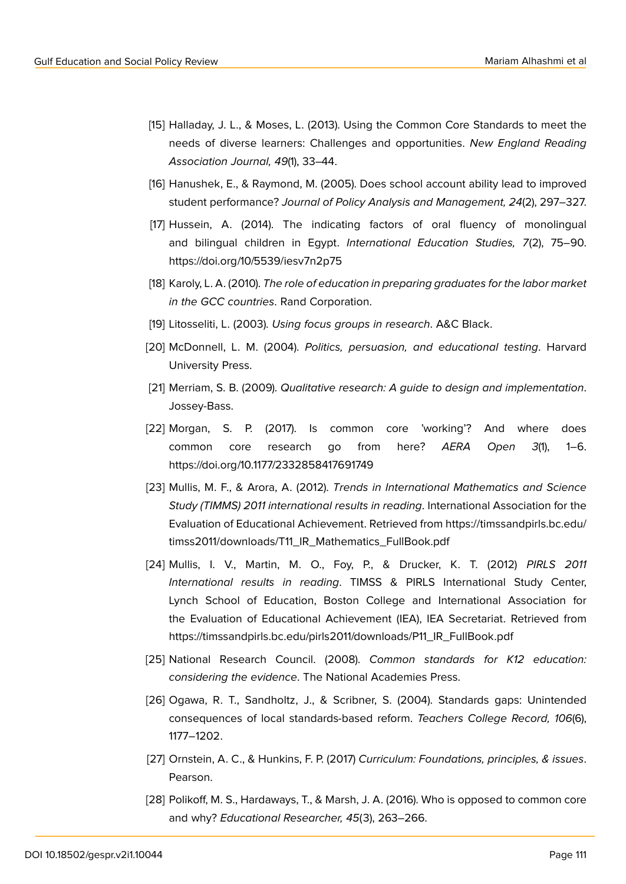- [15] Halladay, J. L., & Moses, L. (2013). Using the Common Core Standards to meet the needs of diverse learners: Challenges and opportunities. *New England Reading Association Journal, 49*(1), 33–44.
- [16] Hanushek, E., & Raymond, M. (2005). Does school account ability lead to improved student performance? *Journal of Policy Analysis and Management, 24*(2), 297–327.
- [17] Hussein, A. (2014). The indicating factors of oral fluency of monolingual and bilingual children in Egypt. *International Education Studies, 7*(2), 75–90. https://doi.org/10/5539/iesv7n2p75
- [18] Karoly, L. A. (2010). *The role of education in preparing graduates for the labor market in the GCC countries*. Rand Corporation.
- [19] Litosseliti, L. (2003). *Using focus groups in research*. A&C Black.
- [20] McDonnell, L. M. (2004). *Politics, persuasion, and educational testing*. Harvard University Press.
- [21] Merriam, S. B. (2009). *Qualitative research: A guide to design and implementation*. Jossey-Bass.
- [22] Morgan, S. P. (2017). Is common core 'working'? And where does common core research go from here? *AERA Open 3*(1), 1–6. https://doi.org/10.1177/2332858417691749
- [23] Mullis, M. F., & Arora, A. (2012). *Trends in International Mathematics and Science Study (TIMMS) 2011 international results in reading*. International Association for the Evaluation of Educational Achievement. Retrieved from [https://timssandpirls.bc.edu/](https://timssandpirls.bc.edu/timss2011/downloads/T11_IR_Mathematics_FullBook.pdf) [timss2011/downloads/T11\\_IR\\_Mathematics\\_FullBook.pdf](https://timssandpirls.bc.edu/timss2011/downloads/T11_IR_Mathematics_FullBook.pdf)
- [24] Mullis, I. V., Martin, M. O., Foy, P., & Drucker, K. T. (2012) *PIRLS 2011 International results in reading*. TIMSS & PIRLS International Study Center, Lynch School of Education, Boston College and International Association for the Evaluation of Educational Achievement (IEA), IEA Secretariat. Retrieved from https://timssandpirls.bc.edu/pirls2011/downloads/P11\_IR\_FullBook.pdf
- [25] National Research Council. (2008). *Common standards for K12 education: considering the evidence*. The National Academies Press.
- [26] Ogawa, R. T., Sandholtz, J., & Scribner, S. (2004). Standards gaps: Unintended consequences of local standards-based reform. *Teachers College Record, 106*(6), 1177–1202.
- [27] Ornstein, A. C., & Hunkins, F. P. (2017) *Curriculum: Foundations, principles, & issues*. Pearson.
- [28] Polikoff, M. S., Hardaways, T., & Marsh, J. A. (2016). Who is opposed to common core and why? *Educational Researcher, 45*(3), 263–266.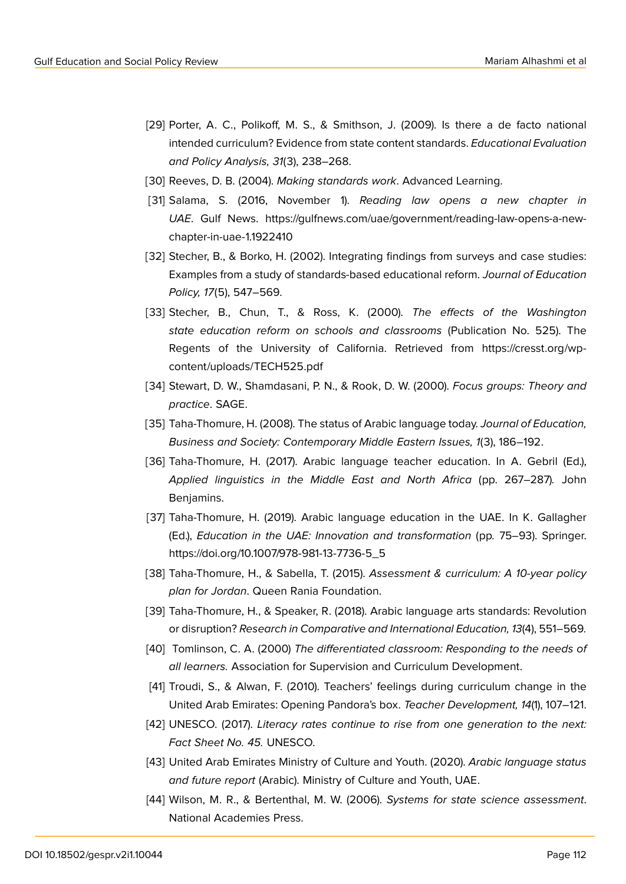- [29] Porter, A. C., Polikoff, M. S., & Smithson, J. (2009). Is there a de facto national intended curriculum? Evidence from state content standards. *Educational Evaluation and Policy Analysis, 31*(3), 238–268.
- [30] Reeves, D. B. (2004). *Making standards work*. Advanced Learning.
- [31] Salama, S. (2016, November 1). *Reading law opens a new chapter in UAE*. Gulf News. https://gulfnews.com/uae/government/reading-law-opens-a-newchapter-in-uae-1.1922410
- [32] Stecher, B., & Borko, H. (2002). Integrating findings from surveys and case studies: Examples from a study of standards-based educational reform. *Journal of Education Policy, 17*(5), 547–569.
- [33] Stecher, B., Chun, T., & Ross, K. (2000). *The effects of the Washington state education reform on schools and classrooms* (Publication No. 525). The Regents of the University of California. Retrieved from https://cresst.org/wpcontent/uploads/TECH525.pdf
- [34] Stewart, D. W., Shamdasani, P. N., & Rook, D. W. (2000). *Focus groups: Theory and practice*. SAGE.
- [35] Taha-Thomure, H. (2008). The status of Arabic language today. *Journal of Education, Business and Society: Contemporary Middle Eastern Issues, 1*(3), 186–192.
- [36] Taha-Thomure, H. (2017). Arabic language teacher education. In A. Gebril (Ed.), *Applied linguistics in the Middle East and North Africa* (pp. 267–287)*.* John Benjamins.
- [37] Taha-Thomure, H. (2019). Arabic language education in the UAE. In K. Gallagher (Ed.), *Education in the UAE: Innovation and transformation* (pp*.* 75–93). Springer. https://doi.org/10.1007/978-981-13-7736-5\_5
- [38] Taha-Thomure, H., & Sabella, T. (2015). *Assessment & curriculum: A 10-year policy plan for Jordan*. Queen Rania Foundation.
- [39] Taha-Thomure, H., & Speaker, R. (2018). Arabic language arts standards: Revolution or disruption? *Research in Comparative and International Education, 13*(4), 551–569*.*
- [40] Tomlinson, C. A. (2000) *The differentiated classroom: Responding to the needs of all learners.* Association for Supervision and Curriculum Development.
- [41] Troudi, S., & Alwan, F. (2010). Teachers' feelings during curriculum change in the United Arab Emirates: Opening Pandora's box. *Teacher Development, 14*(1), 107–121.
- [42] UNESCO. (2017). *Literacy rates continue to rise from one generation to the next: Fact Sheet No. 45.* UNESCO.
- [43] United Arab Emirates Ministry of Culture and Youth. (2020). *Arabic language status and future report* (Arabic). Ministry of Culture and Youth, UAE.
- [44] Wilson, M. R., & Bertenthal, M. W. (2006). *Systems for state science assessment*. National Academies Press.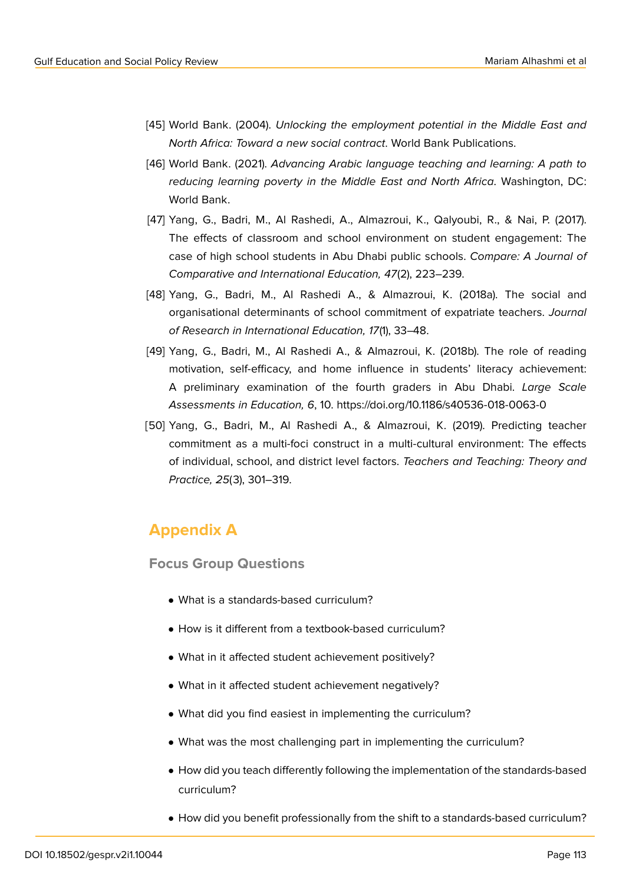- [45] World Bank. (2004). *Unlocking the employment potential in the Middle East and North Africa: Toward a new social contract*. World Bank Publications.
- [46] World Bank. (2021). *Advancing Arabic language teaching and learning: A path to reducing learning poverty in the Middle East and North Africa*. Washington, DC: World Bank.
- [47] Yang, G., Badri, M., Al Rashedi, A., Almazroui, K., Qalyoubi, R., & Nai, P. (2017). The effects of classroom and school environment on student engagement: The case of high school students in Abu Dhabi public schools. *Compare: A Journal of Comparative and International Education, 47*(2), 223–239.
- [48] Yang, G., Badri, M., Al Rashedi A., & Almazroui, K. (2018a). The social and organisational determinants of school commitment of expatriate teachers. *Journal of Research in International Education, 17*(1), 33–48.
- [49] Yang, G., Badri, M., Al Rashedi A., & Almazroui, K. (2018b). The role of reading motivation, self-efficacy, and home influence in students' literacy achievement: A preliminary examination of the fourth graders in Abu Dhabi. *Large Scale Assessments in Education, 6*, 10. https://doi.org/10.1186/s40536-018-0063-0
- [50] Yang, G., Badri, M., Al Rashedi A., & Almazroui, K. (2019). Predicting teacher commitment as a multi-foci construct in a multi-cultural environment: The effects of individual, school, and district level factors. *Teachers and Teaching: Theory and Practice, 25*(3), 301–319.

# **Appendix A**

**Focus Group Questions**

- What is a standards-based curriculum?
- How is it different from a textbook-based curriculum?
- What in it affected student achievement positively?
- What in it affected student achievement negatively?
- What did you find easiest in implementing the curriculum?
- What was the most challenging part in implementing the curriculum?
- How did you teach differently following the implementation of the standards-based curriculum?
- How did you benefit professionally from the shift to a standards-based curriculum?